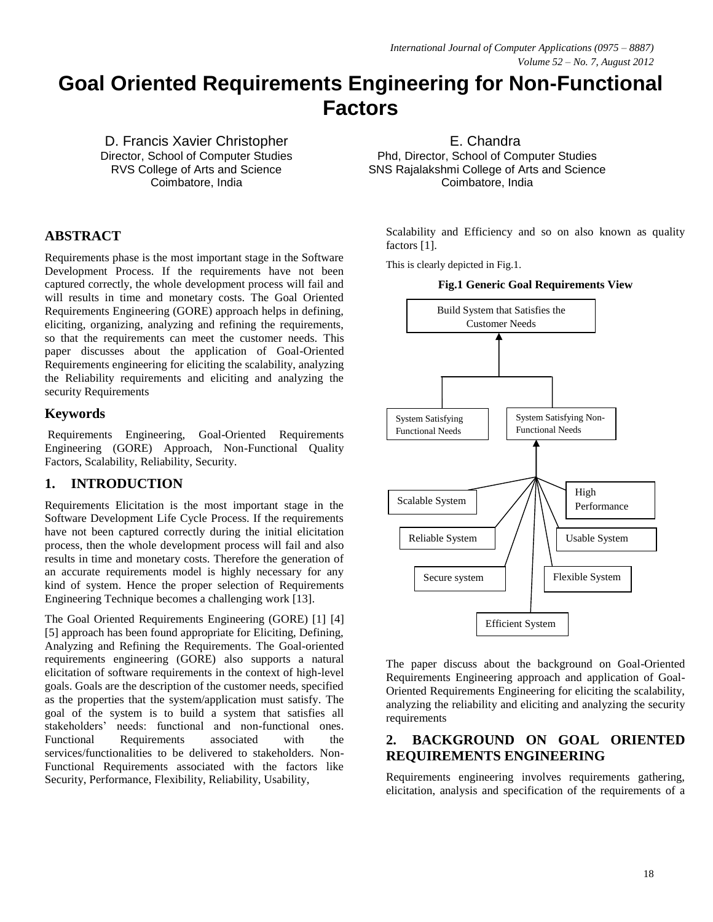# **Goal Oriented Requirements Engineering for Non-Functional Factors**

D. Francis Xavier Christopher Director, School of Computer Studies RVS College of Arts and Science Coimbatore, India

# **ABSTRACT**

Requirements phase is the most important stage in the Software Development Process. If the requirements have not been captured correctly, the whole development process will fail and will results in time and monetary costs. The Goal Oriented Requirements Engineering (GORE) approach helps in defining, eliciting, organizing, analyzing and refining the requirements, so that the requirements can meet the customer needs. This paper discusses about the application of Goal-Oriented Requirements engineering for eliciting the scalability, analyzing the Reliability requirements and eliciting and analyzing the security Requirements

## **Keywords**

Requirements Engineering, Goal-Oriented Requirements Engineering (GORE) Approach, Non-Functional Quality Factors, Scalability, Reliability, Security.

## **1. INTRODUCTION**

Requirements Elicitation is the most important stage in the Software Development Life Cycle Process. If the requirements have not been captured correctly during the initial elicitation process, then the whole development process will fail and also results in time and monetary costs. Therefore the generation of an accurate requirements model is highly necessary for any kind of system. Hence the proper selection of Requirements Engineering Technique becomes a challenging work [13].

The Goal Oriented Requirements Engineering (GORE) [1] [4] [5] approach has been found appropriate for Eliciting, Defining, Analyzing and Refining the Requirements. The Goal-oriented requirements engineering (GORE) also supports a natural elicitation of software requirements in the context of high-level goals. Goals are the description of the customer needs, specified as the properties that the system/application must satisfy. The goal of the system is to build a system that satisfies all stakeholders' needs: functional and non-functional ones. Functional Requirements associated with the services/functionalities to be delivered to stakeholders. Non-Functional Requirements associated with the factors like Security, Performance, Flexibility, Reliability, Usability,

E. Chandra Phd, Director, School of Computer Studies SNS Rajalakshmi College of Arts and Science Coimbatore, India

Scalability and Efficiency and so on also known as quality factors [1].

This is clearly depicted in Fig.1.

#### **Fig.1 Generic Goal Requirements View**



The paper discuss about the background on Goal-Oriented Requirements Engineering approach and application of Goal-Oriented Requirements Engineering for eliciting the scalability, analyzing the reliability and eliciting and analyzing the security requirements

## **2. BACKGROUND ON GOAL ORIENTED REQUIREMENTS ENGINEERING**

Requirements engineering involves requirements gathering, elicitation, analysis and specification of the requirements of a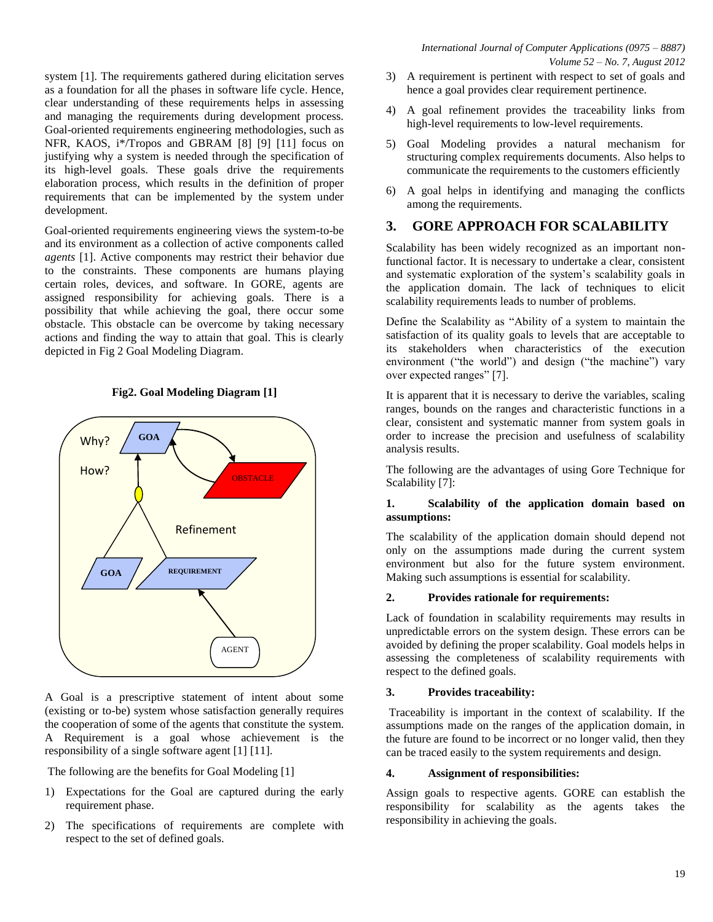system [1]. The requirements gathered during elicitation serves as a foundation for all the phases in software life cycle. Hence, clear understanding of these requirements helps in assessing and managing the requirements during development process. Goal-oriented requirements engineering methodologies, such as NFR, KAOS, i\*/Tropos and GBRAM [8] [9] [11] focus on justifying why a system is needed through the specification of its high-level goals. These goals drive the requirements elaboration process, which results in the definition of proper requirements that can be implemented by the system under development.

Goal-oriented requirements engineering views the system-to-be and its environment as a collection of active components called *agents* [1]. Active components may restrict their behavior due to the constraints. These components are humans playing certain roles, devices, and software. In GORE, agents are assigned responsibility for achieving goals. There is a possibility that while achieving the goal, there occur some obstacle. This obstacle can be overcome by taking necessary actions and finding the way to attain that goal. This is clearly depicted in Fig 2 Goal Modeling Diagram.

**Fig2. Goal Modeling Diagram [1]**



A Goal is a prescriptive statement of intent about some (existing or to-be) system whose satisfaction generally requires the cooperation of some of the agents that constitute the system. A Requirement is a goal whose achievement is the responsibility of a single software agent [1] [11].

The following are the benefits for Goal Modeling [1]

- 1) Expectations for the Goal are captured during the early requirement phase.
- 2) The specifications of requirements are complete with respect to the set of defined goals.
- 3) A requirement is pertinent with respect to set of goals and hence a goal provides clear requirement pertinence.
- 4) A goal refinement provides the traceability links from high-level requirements to low-level requirements.
- 5) Goal Modeling provides a natural mechanism for structuring complex requirements documents. Also helps to communicate the requirements to the customers efficiently
- 6) A goal helps in identifying and managing the conflicts among the requirements.

## **3. GORE APPROACH FOR SCALABILITY**

Scalability has been widely recognized as an important nonfunctional factor. It is necessary to undertake a clear, consistent and systematic exploration of the system's scalability goals in the application domain. The lack of techniques to elicit scalability requirements leads to number of problems.

Define the Scalability as "Ability of a system to maintain the satisfaction of its quality goals to levels that are acceptable to its stakeholders when characteristics of the execution environment ("the world") and design ("the machine") vary over expected ranges" [7].

It is apparent that it is necessary to derive the variables, scaling ranges, bounds on the ranges and characteristic functions in a clear, consistent and systematic manner from system goals in order to increase the precision and usefulness of scalability analysis results.

The following are the advantages of using Gore Technique for Scalability [7]:

#### **1. Scalability of the application domain based on assumptions:**

The scalability of the application domain should depend not only on the assumptions made during the current system environment but also for the future system environment. Making such assumptions is essential for scalability.

#### **2. Provides rationale for requirements:**

Lack of foundation in scalability requirements may results in unpredictable errors on the system design. These errors can be avoided by defining the proper scalability. Goal models helps in assessing the completeness of scalability requirements with respect to the defined goals.

#### **3. Provides traceability:**

Traceability is important in the context of scalability. If the assumptions made on the ranges of the application domain, in the future are found to be incorrect or no longer valid, then they can be traced easily to the system requirements and design.

#### **4. Assignment of responsibilities:**

Assign goals to respective agents. GORE can establish the responsibility for scalability as the agents takes the responsibility in achieving the goals.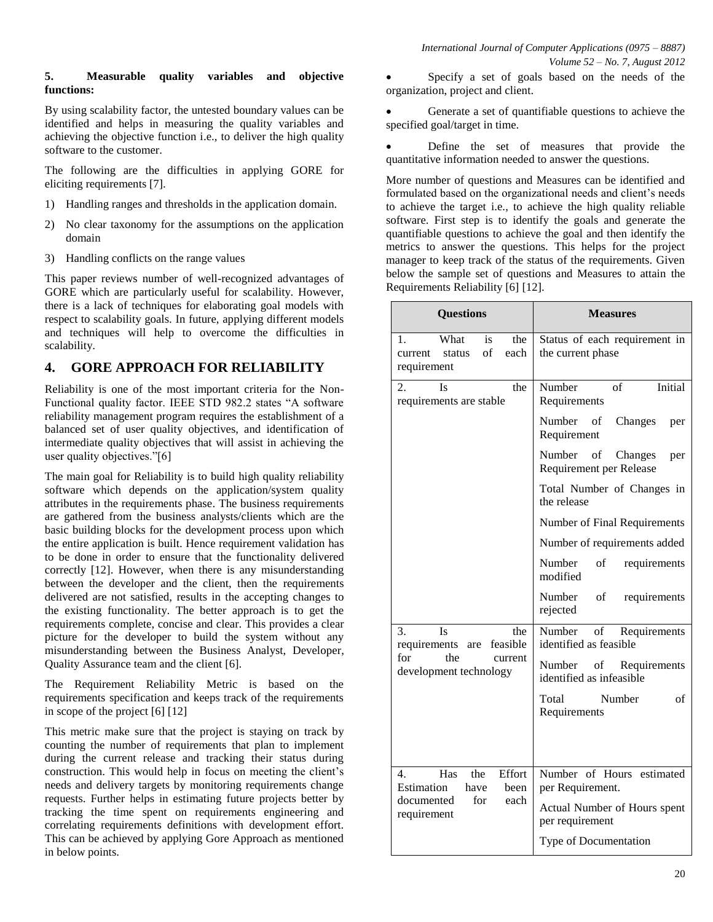#### **5. Measurable quality variables and objective functions:**

By using scalability factor, the untested boundary values can be identified and helps in measuring the quality variables and achieving the objective function i.e., to deliver the high quality software to the customer.

The following are the difficulties in applying GORE for eliciting requirements [7].

- 1) Handling ranges and thresholds in the application domain.
- 2) No clear taxonomy for the assumptions on the application domain
- 3) Handling conflicts on the range values

This paper reviews number of well-recognized advantages of GORE which are particularly useful for scalability. However, there is a lack of techniques for elaborating goal models with respect to scalability goals. In future, applying different models and techniques will help to overcome the difficulties in scalability.

# **4. GORE APPROACH FOR RELIABILITY**

Reliability is one of the most important criteria for the Non-Functional quality factor. IEEE STD 982.2 states "A software reliability management program requires the establishment of a balanced set of user quality objectives, and identification of intermediate quality objectives that will assist in achieving the user quality objectives."[6]

The main goal for Reliability is to build high quality reliability software which depends on the application/system quality attributes in the requirements phase. The business requirements are gathered from the business analysts/clients which are the basic building blocks for the development process upon which the entire application is built. Hence requirement validation has to be done in order to ensure that the functionality delivered correctly [12]. However, when there is any misunderstanding between the developer and the client, then the requirements delivered are not satisfied, results in the accepting changes to the existing functionality. The better approach is to get the requirements complete, concise and clear. This provides a clear picture for the developer to build the system without any misunderstanding between the Business Analyst, Developer, Quality Assurance team and the client [6].

The Requirement Reliability Metric is based on the requirements specification and keeps track of the requirements in scope of the project [6] [12]

This metric make sure that the project is staying on track by counting the number of requirements that plan to implement during the current release and tracking their status during construction. This would help in focus on meeting the client's needs and delivery targets by monitoring requirements change requests. Further helps in estimating future projects better by tracking the time spent on requirements engineering and correlating requirements definitions with development effort. This can be achieved by applying Gore Approach as mentioned in below points.

 Specify a set of goals based on the needs of the organization, project and client.

 Generate a set of quantifiable questions to achieve the specified goal/target in time.

 Define the set of measures that provide the quantitative information needed to answer the questions.

More number of questions and Measures can be identified and formulated based on the organizational needs and client's needs to achieve the target i.e., to achieve the high quality reliable software. First step is to identify the goals and generate the quantifiable questions to achieve the goal and then identify the metrics to answer the questions. This helps for the project manager to keep track of the status of the requirements. Given below the sample set of questions and Measures to attain the Requirements Reliability [6] [12].

| <b>Questions</b>                                                                                   | <b>Measures</b>                                                |  |  |
|----------------------------------------------------------------------------------------------------|----------------------------------------------------------------|--|--|
| What<br>is<br>the<br>1.<br>of<br>each<br>status<br>current<br>requirement                          | Status of each requirement in<br>the current phase             |  |  |
| 2.<br>the<br>Is<br>requirements are stable                                                         | Number<br>of<br>Initial<br>Requirements                        |  |  |
|                                                                                                    | Number<br>of<br>Changes<br>per<br>Requirement                  |  |  |
|                                                                                                    | Number<br>of<br>Changes<br>per<br>Requirement per Release      |  |  |
|                                                                                                    | Total Number of Changes in<br>the release                      |  |  |
|                                                                                                    | Number of Final Requirements                                   |  |  |
|                                                                                                    | Number of requirements added                                   |  |  |
|                                                                                                    | Number<br>οf<br>requirements<br>modified                       |  |  |
|                                                                                                    | Number<br>of<br>requirements<br>rejected                       |  |  |
| 3.<br>Is<br>the<br>are feasible<br>requirements<br>for<br>the<br>current<br>development technology | Number<br>$\sigma$ f<br>Requirements<br>identified as feasible |  |  |
|                                                                                                    | Number of Requirements<br>identified as infeasible             |  |  |
|                                                                                                    | Number<br>Total<br>of<br>Requirements                          |  |  |
|                                                                                                    |                                                                |  |  |
| Effort<br>Has<br>the<br>$\overline{4}$ .<br>Estimation                                             | Number of Hours estimated                                      |  |  |
| have<br>been<br>for<br>each<br>documented<br>requirement                                           | per Requirement.                                               |  |  |
|                                                                                                    | Actual Number of Hours spent<br>per requirement                |  |  |
|                                                                                                    | Type of Documentation                                          |  |  |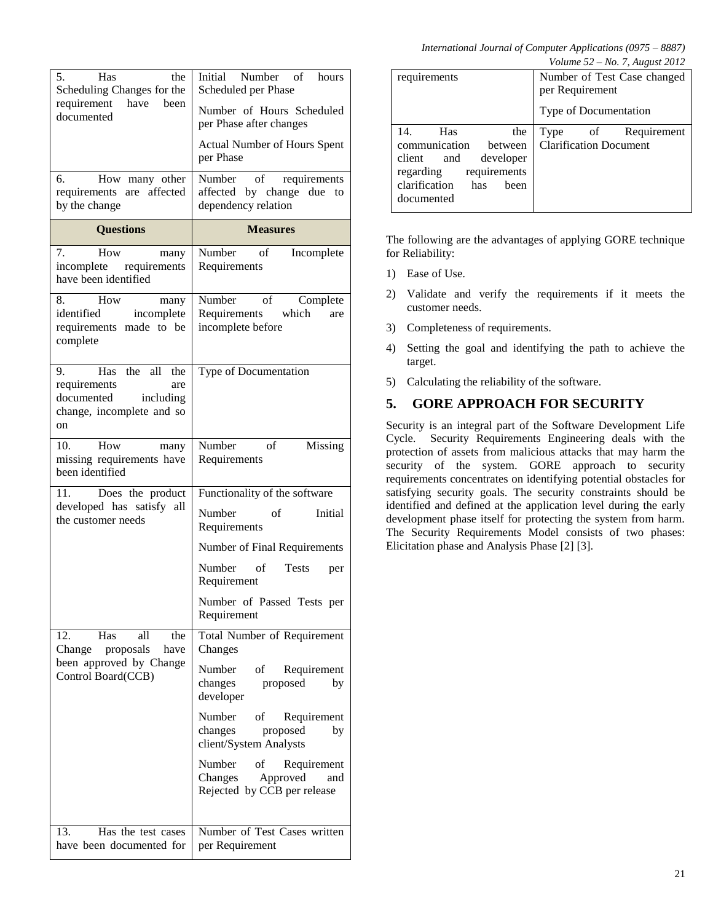*International Journal of Computer Applications (0975 – 8887)* 

| Volume $52 - No.$ 7, August 2012 |  |  |  |
|----------------------------------|--|--|--|
|                                  |  |  |  |

| 5.<br>Has<br>the<br>Scheduling Changes for the<br>requirement<br>have<br>been<br>documented                   | Initial Number of<br>hours<br>Scheduled per Phase<br>Number of Hours Scheduled<br>per Phase after changes |
|---------------------------------------------------------------------------------------------------------------|-----------------------------------------------------------------------------------------------------------|
|                                                                                                               | <b>Actual Number of Hours Spent</b><br>per Phase                                                          |
| How many other<br>6.<br>requirements are affected<br>by the change                                            | requirements<br>Number of<br>affected by change due<br>to<br>dependency relation                          |
| <b>Questions</b>                                                                                              | <b>Measures</b>                                                                                           |
| How<br>7.<br>many<br>incomplete requirements<br>have been identified                                          | Number<br>of<br>Incomplete<br>Requirements                                                                |
| How<br>8.<br>many<br>identified<br>incomplete<br>requirements made to be<br>complete                          | Number of<br>Complete<br>Requirements which<br>are<br>incomplete before                                   |
| Has the all<br>9.<br>the<br>requirements<br>are<br>documented<br>including<br>change, incomplete and so<br>on | Type of Documentation                                                                                     |
| How<br>10.<br>many<br>missing requirements have<br>been identified                                            | Number<br>Missing<br>$\overline{\text{of}}$<br>Requirements                                               |
| Does the product<br>11.<br>developed has satisfy all<br>the customer needs                                    | Functionality of the software<br>Number<br>of<br>Initial<br>Requirements                                  |
|                                                                                                               | Number of Final Requirements                                                                              |
|                                                                                                               | Number<br>of<br><b>Tests</b><br>per<br>Requirement                                                        |
|                                                                                                               | Number of Passed Tests per<br>Requirement                                                                 |
| Has<br>12.<br>all<br>the<br>Change proposals<br>have<br>been approved by Change<br>Control Board(CCB)         | Total Number of Requirement<br>Changes                                                                    |
|                                                                                                               | Number<br>of Requirement<br>proposed<br>changes<br>by<br>developer                                        |
|                                                                                                               | Number<br>Requirement<br>of<br>changes<br>proposed<br>by<br>client/System Analysts                        |
|                                                                                                               | Number<br>of Requirement<br>Approved<br>Changes<br>and<br>Rejected by CCB per release                     |
| 13.<br>Has the test cases<br>have been documented for                                                         | Number of Test Cases written<br>per Requirement                                                           |

|                                                                                                                                       | Volume 52 – No. 7, August 2012                       |
|---------------------------------------------------------------------------------------------------------------------------------------|------------------------------------------------------|
| requirements                                                                                                                          | Number of Test Case changed<br>per Requirement       |
|                                                                                                                                       | Type of Documentation                                |
| Has<br>14.<br>the<br>communication<br>between<br>client<br>and<br>developer<br>requirements<br>regarding<br>clarification has<br>been | Type of Requirement<br><b>Clarification Document</b> |
| documented                                                                                                                            |                                                      |

The following are the advantages of applying GORE technique for Reliability:

- 1) Ease of Use.
- 2) Validate and verify the requirements if it meets the customer needs.
- 3) Completeness of requirements.
- 4) Setting the goal and identifying the path to achieve the target.
- 5) Calculating the reliability of the software.

# **5. GORE APPROACH FOR SECURITY**

Security is an integral part of the Software Development Life Cycle. Security Requirements Engineering deals with the protection of assets from malicious attacks that may harm the security of the system. GORE approach to security requirements concentrates on identifying potential obstacles for satisfying security goals. The security constraints should be identified and defined at the application level during the early development phase itself for protecting the system from harm. The Security Requirements Model consists of two phases: Elicitation phase and Analysis Phase [2] [3].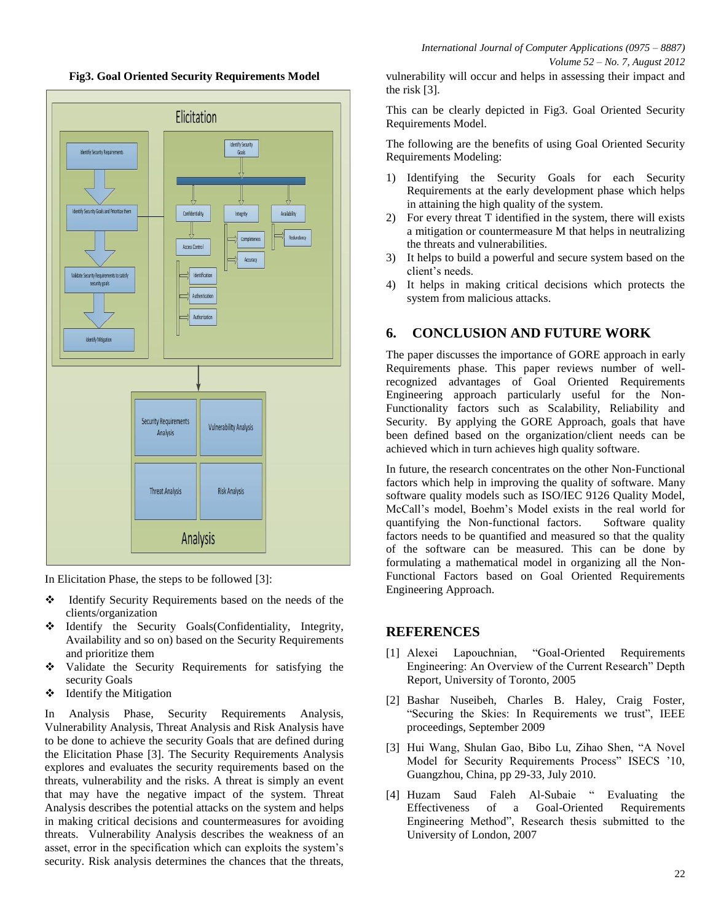**Fig3. Goal Oriented Security Requirements Model**



In Elicitation Phase, the steps to be followed [3]:

- \* Identify Security Requirements based on the needs of the clients/organization
- $\triangleleft$  Identify the Security Goals(Confidentiality, Integrity, Availability and so on) based on the Security Requirements and prioritize them
- Validate the Security Requirements for satisfying the security Goals
- $\triangleleft$  Identify the Mitigation

In Analysis Phase, Security Requirements Analysis, Vulnerability Analysis, Threat Analysis and Risk Analysis have to be done to achieve the security Goals that are defined during the Elicitation Phase [3]. The Security Requirements Analysis explores and evaluates the security requirements based on the threats, vulnerability and the risks. A threat is simply an event that may have the negative impact of the system. Threat Analysis describes the potential attacks on the system and helps in making critical decisions and countermeasures for avoiding threats. Vulnerability Analysis describes the weakness of an asset, error in the specification which can exploits the system's security. Risk analysis determines the chances that the threats,

vulnerability will occur and helps in assessing their impact and the risk [3].

This can be clearly depicted in Fig3. Goal Oriented Security Requirements Model.

The following are the benefits of using Goal Oriented Security Requirements Modeling:

- 1) Identifying the Security Goals for each Security Requirements at the early development phase which helps in attaining the high quality of the system.
- 2) For every threat T identified in the system, there will exists a mitigation or countermeasure M that helps in neutralizing the threats and vulnerabilities.
- 3) It helps to build a powerful and secure system based on the client's needs.
- 4) It helps in making critical decisions which protects the system from malicious attacks.

## **6. CONCLUSION AND FUTURE WORK**

The paper discusses the importance of GORE approach in early Requirements phase. This paper reviews number of wellrecognized advantages of Goal Oriented Requirements Engineering approach particularly useful for the Non-Functionality factors such as Scalability, Reliability and Security. By applying the GORE Approach, goals that have been defined based on the organization/client needs can be achieved which in turn achieves high quality software.

In future, the research concentrates on the other Non-Functional factors which help in improving the quality of software. Many software quality models such as ISO/IEC 9126 Quality Model, McCall's model, Boehm's Model exists in the real world for quantifying the Non-functional factors. Software quality factors needs to be quantified and measured so that the quality of the software can be measured. This can be done by formulating a mathematical model in organizing all the Non-Functional Factors based on Goal Oriented Requirements Engineering Approach.

#### **REFERENCES**

- [1] Alexei Lapouchnian, "Goal-Oriented Requirements Engineering: An Overview of the Current Research" Depth Report, University of Toronto, 2005
- [2] Bashar Nuseibeh, Charles B. Haley, Craig Foster, "Securing the Skies: In Requirements we trust", IEEE proceedings, September 2009
- [3] Hui Wang, Shulan Gao, Bibo Lu, Zihao Shen, "A Novel Model for Security Requirements Process" ISECS '10, Guangzhou, China, pp 29-33, July 2010.
- [4] Huzam Saud Faleh Al-Subaie " Evaluating the Effectiveness of a Goal-Oriented Requirements Engineering Method", Research thesis submitted to the University of London, 2007